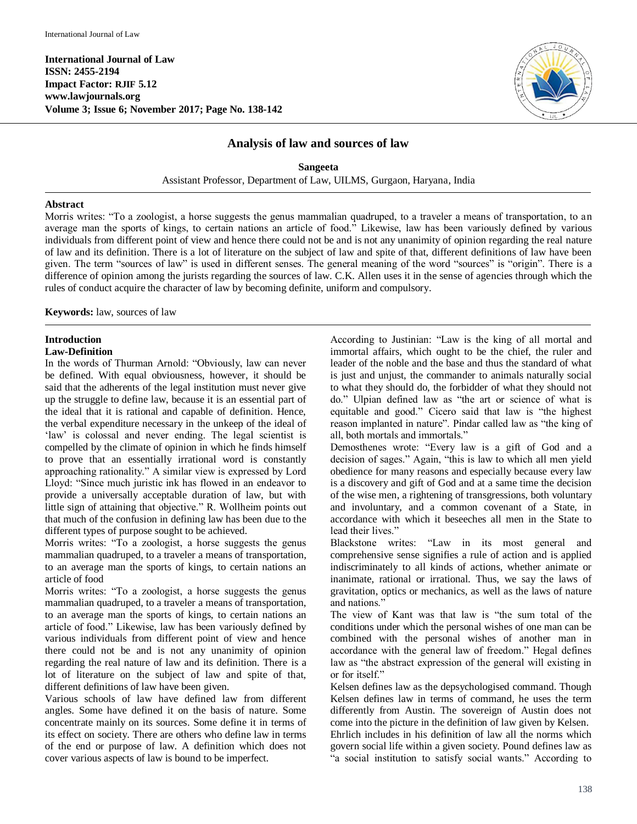

# **Analysis of law and sources of law**

**Sangeeta** Assistant Professor, Department of Law, UILMS, Gurgaon, Haryana, India

#### **Abstract**

Morris writes: "To a zoologist, a horse suggests the genus mammalian quadruped, to a traveler a means of transportation, to an average man the sports of kings, to certain nations an article of food." Likewise, law has been variously defined by various individuals from different point of view and hence there could not be and is not any unanimity of opinion regarding the real nature of law and its definition. There is a lot of literature on the subject of law and spite of that, different definitions of law have been given. The term "sources of law" is used in different senses. The general meaning of the word "sources" is "origin". There is a difference of opinion among the jurists regarding the sources of law. C.K. Allen uses it in the sense of agencies through which the rules of conduct acquire the character of law by becoming definite, uniform and compulsory.

**Keywords:** law, sources of law

# **Introduction**

#### **Law-Definition**

In the words of Thurman Arnold: "Obviously, law can never be defined. With equal obviousness, however, it should be said that the adherents of the legal institution must never give up the struggle to define law, because it is an essential part of the ideal that it is rational and capable of definition. Hence, the verbal expenditure necessary in the unkeep of the ideal of 'law' is colossal and never ending. The legal scientist is compelled by the climate of opinion in which he finds himself to prove that an essentially irrational word is constantly approaching rationality." A similar view is expressed by Lord Lloyd: "Since much juristic ink has flowed in an endeavor to provide a universally acceptable duration of law, but with little sign of attaining that objective." R. Wollheim points out that much of the confusion in defining law has been due to the different types of purpose sought to be achieved.

Morris writes: "To a zoologist, a horse suggests the genus mammalian quadruped, to a traveler a means of transportation, to an average man the sports of kings, to certain nations an article of food

Morris writes: "To a zoologist, a horse suggests the genus mammalian quadruped, to a traveler a means of transportation, to an average man the sports of kings, to certain nations an article of food." Likewise, law has been variously defined by various individuals from different point of view and hence there could not be and is not any unanimity of opinion regarding the real nature of law and its definition. There is a lot of literature on the subject of law and spite of that, different definitions of law have been given.

Various schools of law have defined law from different angles. Some have defined it on the basis of nature. Some concentrate mainly on its sources. Some define it in terms of its effect on society. There are others who define law in terms of the end or purpose of law. A definition which does not cover various aspects of law is bound to be imperfect.

According to Justinian: "Law is the king of all mortal and immortal affairs, which ought to be the chief, the ruler and leader of the noble and the base and thus the standard of what is just and unjust, the commander to animals naturally social to what they should do, the forbidder of what they should not do." Ulpian defined law as "the art or science of what is equitable and good." Cicero said that law is "the highest reason implanted in nature". Pindar called law as "the king of all, both mortals and immortals."

Demosthenes wrote: "Every law is a gift of God and a decision of sages." Again, "this is law to which all men yield obedience for many reasons and especially because every law is a discovery and gift of God and at a same time the decision of the wise men, a rightening of transgressions, both voluntary and involuntary, and a common covenant of a State, in accordance with which it beseeches all men in the State to lead their lives."

Blackstone writes: "Law in its most general and comprehensive sense signifies a rule of action and is applied indiscriminately to all kinds of actions, whether animate or inanimate, rational or irrational. Thus, we say the laws of gravitation, optics or mechanics, as well as the laws of nature and nations."

The view of Kant was that law is "the sum total of the conditions under which the personal wishes of one man can be combined with the personal wishes of another man in accordance with the general law of freedom." Hegal defines law as "the abstract expression of the general will existing in or for itself."

Kelsen defines law as the depsychologised command. Though Kelsen defines law in terms of command, he uses the term differently from Austin. The sovereign of Austin does not come into the picture in the definition of law given by Kelsen.

Ehrlich includes in his definition of law all the norms which govern social life within a given society. Pound defines law as "a social institution to satisfy social wants." According to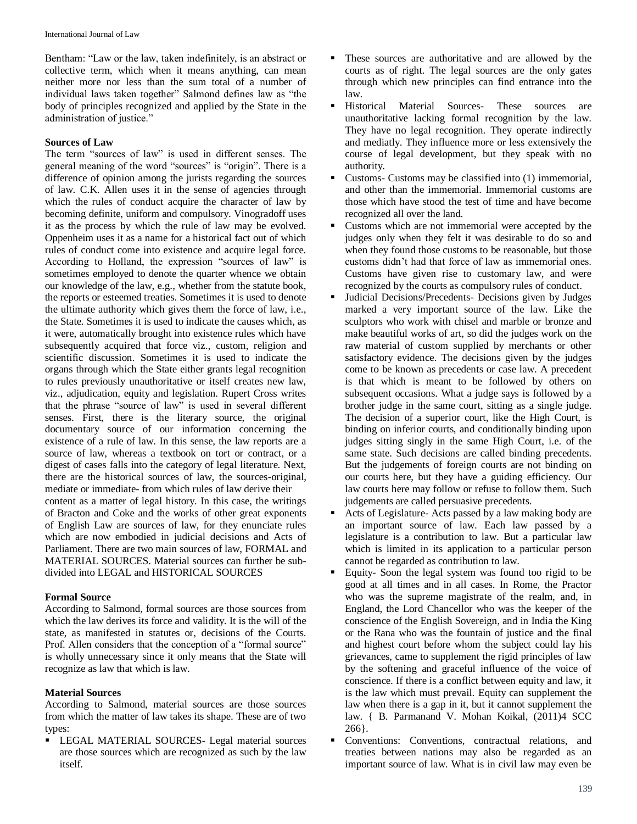Bentham: "Law or the law, taken indefinitely, is an abstract or collective term, which when it means anything, can mean neither more nor less than the sum total of a number of individual laws taken together" Salmond defines law as "the body of principles recognized and applied by the State in the administration of justice."

## **Sources of Law**

The term "sources of law" is used in different senses. The general meaning of the word "sources" is "origin". There is a difference of opinion among the jurists regarding the sources of law. C.K. Allen uses it in the sense of agencies through which the rules of conduct acquire the character of law by becoming definite, uniform and compulsory. Vinogradoff uses it as the process by which the rule of law may be evolved. Oppenheim uses it as a name for a historical fact out of which rules of conduct come into existence and acquire legal force. According to Holland, the expression "sources of law" is sometimes employed to denote the quarter whence we obtain our knowledge of the law, e.g., whether from the statute book, the reports or esteemed treaties. Sometimes it is used to denote the ultimate authority which gives them the force of law, i.e., the State. Sometimes it is used to indicate the causes which, as it were, automatically brought into existence rules which have subsequently acquired that force viz., custom, religion and scientific discussion. Sometimes it is used to indicate the organs through which the State either grants legal recognition to rules previously unauthoritative or itself creates new law, viz., adjudication, equity and legislation. Rupert Cross writes that the phrase "source of law" is used in several different senses. First, there is the literary source, the original documentary source of our information concerning the existence of a rule of law. In this sense, the law reports are a source of law, whereas a textbook on tort or contract, or a digest of cases falls into the category of legal literature. Next, there are the historical sources of law, the sources-original, mediate or immediate- from which rules of law derive their content as a matter of legal history. In this case, the writings of Bracton and Coke and the works of other great exponents of English Law are sources of law, for they enunciate rules which are now embodied in judicial decisions and Acts of Parliament. There are two main sources of law, FORMAL and MATERIAL SOURCES. Material sources can further be subdivided into LEGAL and HISTORICAL SOURCES

#### **Formal Source**

According to Salmond, formal sources are those sources from which the law derives its force and validity. It is the will of the state, as manifested in statutes or, decisions of the Courts. Prof. Allen considers that the conception of a "formal source" is wholly unnecessary since it only means that the State will recognize as law that which is law.

## **Material Sources**

According to Salmond, material sources are those sources from which the matter of law takes its shape. These are of two types:

 LEGAL MATERIAL SOURCES- Legal material sources are those sources which are recognized as such by the law itself.

- These sources are authoritative and are allowed by the courts as of right. The legal sources are the only gates through which new principles can find entrance into the law.
- Historical Material Sources- These sources are unauthoritative lacking formal recognition by the law. They have no legal recognition. They operate indirectly and mediatly. They influence more or less extensively the course of legal development, but they speak with no authority.
- Customs- Customs may be classified into (1) immemorial, and other than the immemorial. Immemorial customs are those which have stood the test of time and have become recognized all over the land.
- Customs which are not immemorial were accepted by the judges only when they felt it was desirable to do so and when they found those customs to be reasonable, but those customs didn't had that force of law as immemorial ones. Customs have given rise to customary law, and were recognized by the courts as compulsory rules of conduct.
- Judicial Decisions/Precedents- Decisions given by Judges marked a very important source of the law. Like the sculptors who work with chisel and marble or bronze and make beautiful works of art, so did the judges work on the raw material of custom supplied by merchants or other satisfactory evidence. The decisions given by the judges come to be known as precedents or case law. A precedent is that which is meant to be followed by others on subsequent occasions. What a judge says is followed by a brother judge in the same court, sitting as a single judge. The decision of a superior court, like the High Court, is binding on inferior courts, and conditionally binding upon judges sitting singly in the same High Court, i.e. of the same state. Such decisions are called binding precedents. But the judgements of foreign courts are not binding on our courts here, but they have a guiding efficiency. Our law courts here may follow or refuse to follow them. Such judgements are called persuasive precedents.
- Acts of Legislature- Acts passed by a law making body are an important source of law. Each law passed by a legislature is a contribution to law. But a particular law which is limited in its application to a particular person cannot be regarded as contribution to law.
- Equity- Soon the legal system was found too rigid to be good at all times and in all cases. In Rome, the Practor who was the supreme magistrate of the realm, and, in England, the Lord Chancellor who was the keeper of the conscience of the English Sovereign, and in India the King or the Rana who was the fountain of justice and the final and highest court before whom the subject could lay his grievances, came to supplement the rigid principles of law by the softening and graceful influence of the voice of conscience. If there is a conflict between equity and law, it is the law which must prevail. Equity can supplement the law when there is a gap in it, but it cannot supplement the law. { B. Parmanand V. Mohan Koikal, (2011)4 SCC 266}.
- Conventions: Conventions, contractual relations, and treaties between nations may also be regarded as an important source of law. What is in civil law may even be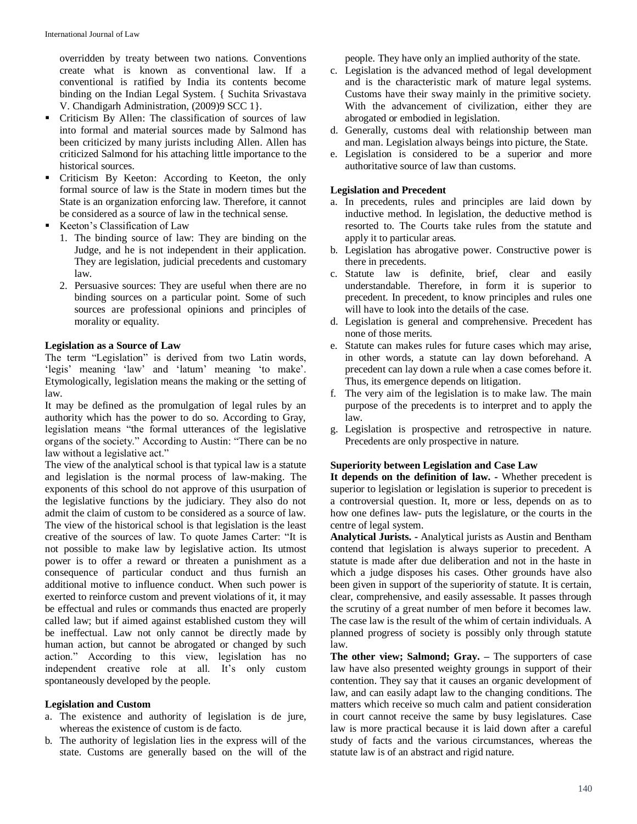overridden by treaty between two nations. Conventions create what is known as conventional law. If a conventional is ratified by India its contents become binding on the Indian Legal System. { Suchita Srivastava V. Chandigarh Administration, (2009)9 SCC 1}.

- Criticism By Allen: The classification of sources of law into formal and material sources made by Salmond has been criticized by many jurists including Allen. Allen has criticized Salmond for his attaching little importance to the historical sources.
- **•** Criticism By Keeton: According to Keeton, the only formal source of law is the State in modern times but the State is an organization enforcing law. Therefore, it cannot be considered as a source of law in the technical sense.
- Keeton's Classification of Law
	- 1. The binding source of law: They are binding on the Judge, and he is not independent in their application. They are legislation, judicial precedents and customary law.
	- 2. Persuasive sources: They are useful when there are no binding sources on a particular point. Some of such sources are professional opinions and principles of morality or equality.

## **Legislation as a Source of Law**

The term "Legislation" is derived from two Latin words, 'legis' meaning 'law' and 'latum' meaning 'to make'. Etymologically, legislation means the making or the setting of law.

It may be defined as the promulgation of legal rules by an authority which has the power to do so. According to Gray, legislation means "the formal utterances of the legislative organs of the society." According to Austin: "There can be no law without a legislative act."

The view of the analytical school is that typical law is a statute and legislation is the normal process of law-making. The exponents of this school do not approve of this usurpation of the legislative functions by the judiciary. They also do not admit the claim of custom to be considered as a source of law. The view of the historical school is that legislation is the least creative of the sources of law. To quote James Carter: "It is not possible to make law by legislative action. Its utmost power is to offer a reward or threaten a punishment as a consequence of particular conduct and thus furnish an additional motive to influence conduct. When such power is exerted to reinforce custom and prevent violations of it, it may be effectual and rules or commands thus enacted are properly called law; but if aimed against established custom they will be ineffectual. Law not only cannot be directly made by human action, but cannot be abrogated or changed by such action." According to this view, legislation has no independent creative role at all. It's only custom spontaneously developed by the people.

#### **Legislation and Custom**

- a. The existence and authority of legislation is de jure, whereas the existence of custom is de facto.
- b. The authority of legislation lies in the express will of the state. Customs are generally based on the will of the

people. They have only an implied authority of the state.

- c. Legislation is the advanced method of legal development and is the characteristic mark of mature legal systems. Customs have their sway mainly in the primitive society. With the advancement of civilization, either they are abrogated or embodied in legislation.
- d. Generally, customs deal with relationship between man and man. Legislation always beings into picture, the State.
- e. Legislation is considered to be a superior and more authoritative source of law than customs.

## **Legislation and Precedent**

- a. In precedents, rules and principles are laid down by inductive method. In legislation, the deductive method is resorted to. The Courts take rules from the statute and apply it to particular areas.
- b. Legislation has abrogative power. Constructive power is there in precedents.
- c. Statute law is definite, brief, clear and easily understandable. Therefore, in form it is superior to precedent. In precedent, to know principles and rules one will have to look into the details of the case.
- d. Legislation is general and comprehensive. Precedent has none of those merits.
- e. Statute can makes rules for future cases which may arise, in other words, a statute can lay down beforehand. A precedent can lay down a rule when a case comes before it. Thus, its emergence depends on litigation.
- f. The very aim of the legislation is to make law. The main purpose of the precedents is to interpret and to apply the law.
- g. Legislation is prospective and retrospective in nature. Precedents are only prospective in nature.

## **Superiority between Legislation and Case Law**

**It depends on the definition of law. -** Whether precedent is superior to legislation or legislation is superior to precedent is a controversial question. It, more or less, depends on as to how one defines law- puts the legislature, or the courts in the centre of legal system.

**Analytical Jurists. -** Analytical jurists as Austin and Bentham contend that legislation is always superior to precedent. A statute is made after due deliberation and not in the haste in which a judge disposes his cases. Other grounds have also been given in support of the superiority of statute. It is certain, clear, comprehensive, and easily assessable. It passes through the scrutiny of a great number of men before it becomes law. The case law is the result of the whim of certain individuals. A planned progress of society is possibly only through statute law.

**The other view; Salmond; Gray. –** The supporters of case law have also presented weighty groungs in support of their contention. They say that it causes an organic development of law, and can easily adapt law to the changing conditions. The matters which receive so much calm and patient consideration in court cannot receive the same by busy legislatures. Case law is more practical because it is laid down after a careful study of facts and the various circumstances, whereas the statute law is of an abstract and rigid nature.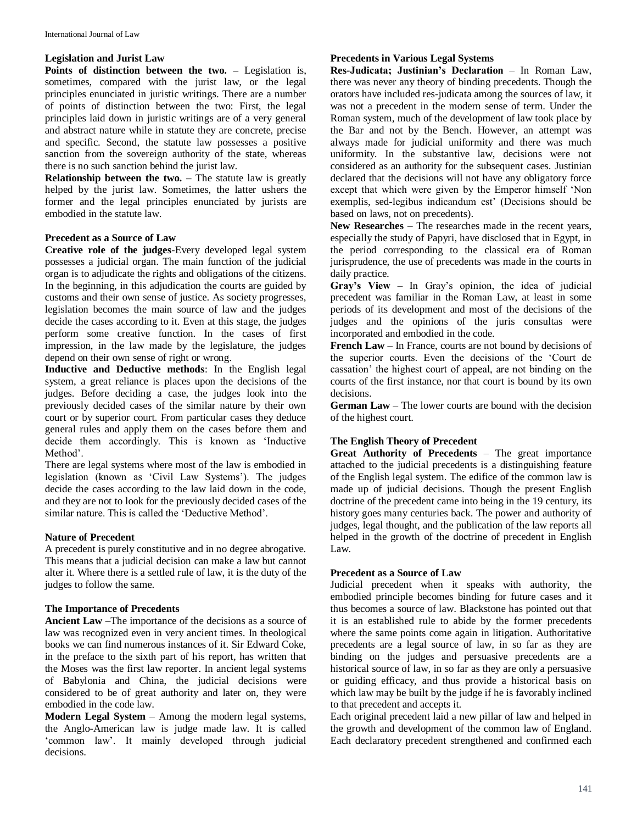## **Legislation and Jurist Law**

**Points of distinction between the two. –** Legislation is, sometimes, compared with the jurist law, or the legal principles enunciated in juristic writings. There are a number of points of distinction between the two: First, the legal principles laid down in juristic writings are of a very general and abstract nature while in statute they are concrete, precise and specific. Second, the statute law possesses a positive sanction from the sovereign authority of the state, whereas there is no such sanction behind the jurist law.

**Relationship between the two.** – The statute law is greatly helped by the jurist law. Sometimes, the latter ushers the former and the legal principles enunciated by jurists are embodied in the statute law.

#### **Precedent as a Source of Law**

**Creative role of the judges**-Every developed legal system possesses a judicial organ. The main function of the judicial organ is to adjudicate the rights and obligations of the citizens. In the beginning, in this adjudication the courts are guided by customs and their own sense of justice. As society progresses, legislation becomes the main source of law and the judges decide the cases according to it. Even at this stage, the judges perform some creative function. In the cases of first impression, in the law made by the legislature, the judges depend on their own sense of right or wrong.

**Inductive and Deductive methods**: In the English legal system, a great reliance is places upon the decisions of the judges. Before deciding a case, the judges look into the previously decided cases of the similar nature by their own court or by superior court. From particular cases they deduce general rules and apply them on the cases before them and decide them accordingly. This is known as 'Inductive Method'.

There are legal systems where most of the law is embodied in legislation (known as 'Civil Law Systems'). The judges decide the cases according to the law laid down in the code, and they are not to look for the previously decided cases of the similar nature. This is called the 'Deductive Method'.

#### **Nature of Precedent**

A precedent is purely constitutive and in no degree abrogative. This means that a judicial decision can make a law but cannot alter it. Where there is a settled rule of law, it is the duty of the judges to follow the same.

#### **The Importance of Precedents**

**Ancient Law** –The importance of the decisions as a source of law was recognized even in very ancient times. In theological books we can find numerous instances of it. Sir Edward Coke, in the preface to the sixth part of his report, has written that the Moses was the first law reporter. In ancient legal systems of Babylonia and China, the judicial decisions were considered to be of great authority and later on, they were embodied in the code law.

**Modern Legal System** – Among the modern legal systems, the Anglo-American law is judge made law. It is called 'common law'. It mainly developed through judicial decisions.

#### **Precedents in Various Legal Systems**

**Res-Judicata; Justinian's Declaration** – In Roman Law, there was never any theory of binding precedents. Though the orators have included res-judicata among the sources of law, it was not a precedent in the modern sense of term. Under the Roman system, much of the development of law took place by the Bar and not by the Bench. However, an attempt was always made for judicial uniformity and there was much uniformity. In the substantive law, decisions were not considered as an authority for the subsequent cases. Justinian declared that the decisions will not have any obligatory force except that which were given by the Emperor himself 'Non exemplis, sed-legibus indicandum est' (Decisions should be based on laws, not on precedents).

**New Researches** – The researches made in the recent years, especially the study of Papyri, have disclosed that in Egypt, in the period corresponding to the classical era of Roman jurisprudence, the use of precedents was made in the courts in daily practice.

**Gray's View** – In Gray's opinion, the idea of judicial precedent was familiar in the Roman Law, at least in some periods of its development and most of the decisions of the judges and the opinions of the juris consultas were incorporated and embodied in the code.

**French Law** – In France, courts are not bound by decisions of the superior courts. Even the decisions of the 'Court de cassation' the highest court of appeal, are not binding on the courts of the first instance, nor that court is bound by its own decisions.

**German Law** – The lower courts are bound with the decision of the highest court.

#### **The English Theory of Precedent**

**Great Authority of Precedents** – The great importance attached to the judicial precedents is a distinguishing feature of the English legal system. The edifice of the common law is made up of judicial decisions. Though the present English doctrine of the precedent came into being in the 19 century, its history goes many centuries back. The power and authority of judges, legal thought, and the publication of the law reports all helped in the growth of the doctrine of precedent in English Law.

## **Precedent as a Source of Law**

Judicial precedent when it speaks with authority, the embodied principle becomes binding for future cases and it thus becomes a source of law. Blackstone has pointed out that it is an established rule to abide by the former precedents where the same points come again in litigation. Authoritative precedents are a legal source of law, in so far as they are binding on the judges and persuasive precedents are a historical source of law, in so far as they are only a persuasive or guiding efficacy, and thus provide a historical basis on which law may be built by the judge if he is favorably inclined to that precedent and accepts it.

Each original precedent laid a new pillar of law and helped in the growth and development of the common law of England. Each declaratory precedent strengthened and confirmed each